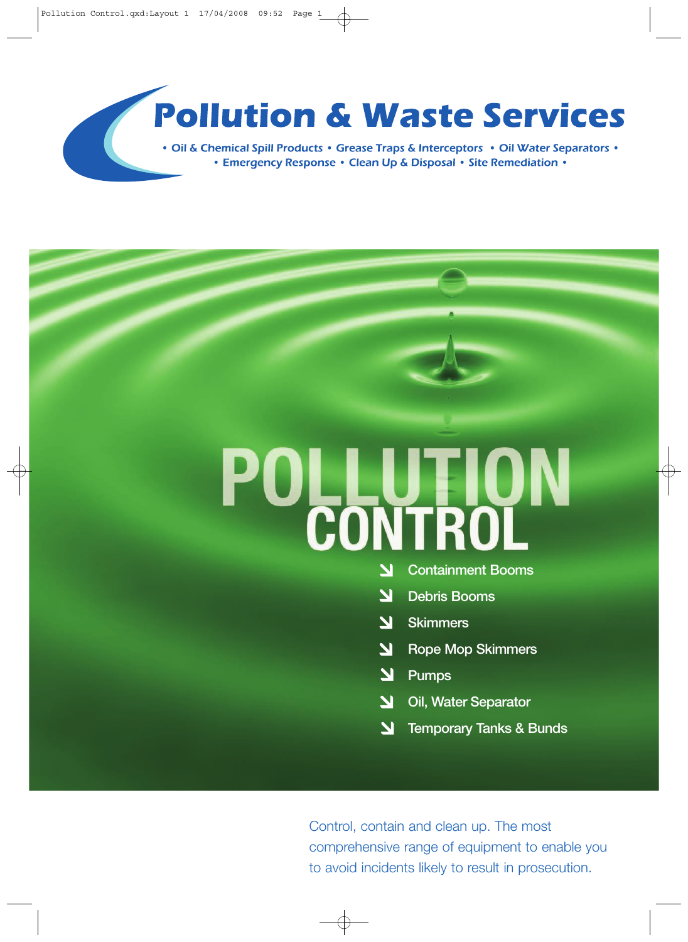# **Pollution & Waste Services**

• Oil & Chemical Spill Products • Grease Traps & Interceptors • Oil Water Separators • • Emergency Response • Clean Up & Disposal • Site Remediation •

# **DLLUTION**<br>CONTROL

- **Containment Booms**
- $\overline{\mathbf{N}}$ **Debris Booms**
- $\blacktriangleright$ **Skimmers**
- $\blacktriangleright$ **Rope Mop Skimmers**
- $\blacktriangle$ **Pumps**
- **Oil, Water Separator**  $\overline{\mathbf{M}}$
- N **Temporary Tanks & Bunds**

Control, contain and clean up. The most comprehensive range of equipment to enable you to avoid incidents likely to result in prosecution.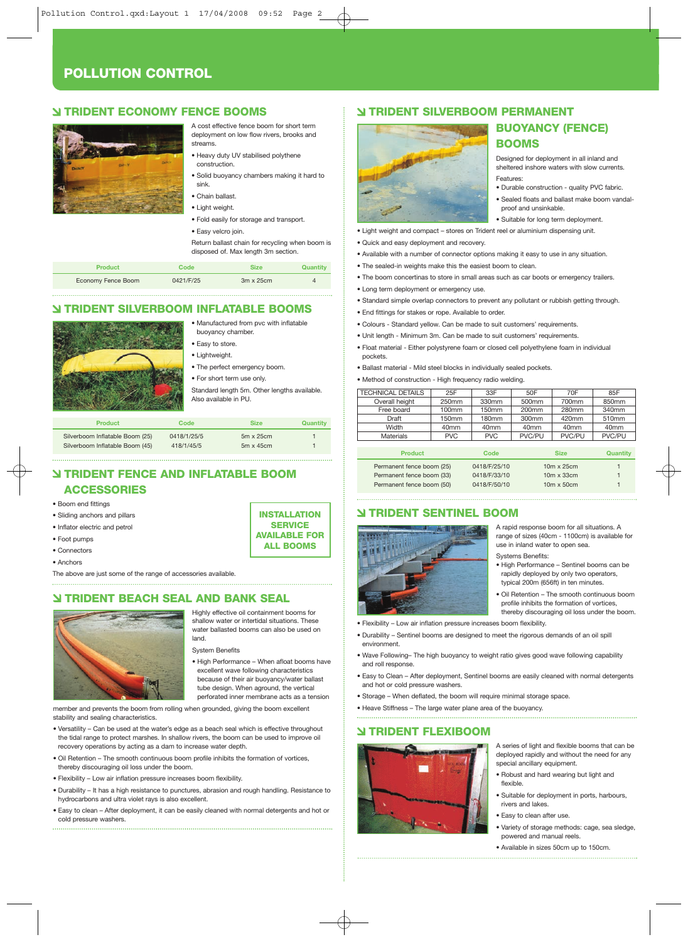#### **POLLUTION CONTROL**

#### **TRIDENT ECONOMY FENCE BOOMS**



streams. • Heavy duty UV stabilised polythene construction.

• Solid buoyancy chambers making it hard to sink.

A cost effective fence boom for short term deployment on low flow rivers, brooks and

- Chain ballast.
- Light weight.
- Fold easily for storage and transport.

• Easy velcro join. Return ballast chain for recycling when boom is disposed of. Max length 3m section.

| Product            | Code      | <b>Size</b>      | Quantity |
|--------------------|-----------|------------------|----------|
| Economy Fence Boom | 0421/F/25 | $3m \times 25cm$ |          |

#### **TRIDENT SILVERBOOM INFLATABLE BOOMS**

• Manufactured from pvc with inflatable

- buoyancy chamber. • Easy to store. • Lightweight.
- The perfect emergency boom.
- For short term use only.
- 

Standard length 5m. Other lengths available. Also available in PU.

| <b>Product</b>                  | Code        | <b>Size</b>      | Quantity |
|---------------------------------|-------------|------------------|----------|
| Silverboom Inflatable Boom (25) | 0418/1/25/5 | $5m \times 25cm$ |          |
| Silverboom Inflatable Boom (45) | 418/1/45/5  | $5m \times 45cm$ |          |

#### **TRIDENT FENCE AND INFLATABLE BOOM ACCESSORIES**

#### • Boom end fittings

- Sliding anchors and pillars
- Inflator electric and petrol
- Foot pumps
- Connectors
- Anchors

The above are just some of the range of accessories available.

#### **TRIDENT BEACH SEAL AND BANK SEAL**



Highly effective oil containment booms for shallow water or intertidal situations. These water ballasted booms can also be used on land.

**INSTALLATION SERVICE AVAILABLE FOR ALL BOOMS**

System Benefits

• High Performance – When afloat booms have excellent wave following characteristics because of their air buoyancy/water ballast tube design. When aground, the vertical perforated inner membrane acts as a tension

member and prevents the boom from rolling when grounded, giving the boom excellent stability and sealing characteristics.

- Versatility Can be used at the water's edge as a beach seal which is effective throughout the tidal range to protect marshes. In shallow rivers, the boom can be used to improve oil recovery operations by acting as a dam to increase water depth.
- Oil Retention The smooth continuous boom profile inhibits the formation of vortices, thereby discouraging oil loss under the boom.
- Flexibility Low air inflation pressure increases boom flexibility.
- Durability It has a high resistance to punctures, abrasion and rough handling. Resistance to hydrocarbons and ultra violet rays is also excellent.
- Easy to clean After deployment, it can be easily cleaned with normal detergents and hot or cold pressure washers.

#### **TRIDENT SILVERBOOM PERMANENT**



• Light weight and compact – stores on Trident reel or aluminium dispensing unit.

- Quick and easy deployment and recovery.
- Available with a number of connector options making it easy to use in any situation.
- The sealed-in weights make this the easiest boom to clean.
- The boom concertinas to store in small areas such as car boots or emergency trailers.

**BUOYANCY (FENCE)** 

Designed for deployment in all inland and sheltered inshore waters with slow currents.

• Durable construction - quality PVC fabric. • Sealed floats and ballast make boom vandal-

**BOOMS**

proof and unsinkable. • Suitable for long term deployment.

Features:

- Long term deployment or emergency use.
- Standard simple overlap connectors to prevent any pollutant or rubbish getting through.
- End fittings for stakes or rope. Available to order.
- Colours Standard yellow. Can be made to suit customers' requirements.
- Unit length Minimum 3m. Can be made to suit customers' requirements.
- Float material Either polystyrene foam or closed cell polyethylene foam in individual pockets.
- Ballast material Mild steel blocks in individually sealed pockets.
- Method of construction High frequency radio welding.

| <b>TECHNICAL DETAILS</b> | 25F              | 33F              | 50F               | 70F              | 85F              |
|--------------------------|------------------|------------------|-------------------|------------------|------------------|
| Overall height           | 250mm            | 330mm            | 500mm             | 700mm            | 850mm            |
| Free board               | 100mm            | 150mm            | 200 <sub>mm</sub> | 280mm            | 340mm            |
| Draft                    | 150mm            | 180mm            | 300mm             | 420mm            | 510mm            |
| Width                    | 40 <sub>mm</sub> | 40 <sub>mm</sub> | 40 <sub>mm</sub>  | 40 <sub>mm</sub> | 40 <sub>mm</sub> |
| Materials                | <b>PVC</b>       | <b>PVC</b>       | PVC/PU            | PVC/PU           | PVC/PU           |
|                          |                  |                  |                   |                  |                  |
| <b>Product</b>           |                  | Code             |                   | <b>Size</b>      | Quantity         |

| .                         | ---------    | .                 | $-$ |
|---------------------------|--------------|-------------------|-----|
| Permanent fence boom (25) | 0418/F/25/10 | $10m \times 25cm$ | 1.  |
| Permanent fence boom (33) | 0418/F/33/10 | $10m \times 33cm$ | 1.  |
| Permanent fence boom (50) | 0418/F/50/10 | $10m \times 50cm$ |     |

#### **TRIDENT SENTINEL BOOM**



A rapid response boom for all situations. A range of sizes (40cm - 1100cm) is available for use in inland water to open sea. Systems Benefits:

- High Performance Sentinel booms can be rapidly deployed by only two operators, typical 200m (656ft) in ten minutes.
- Oil Retention The smooth continuous boom profile inhibits the formation of vortices, thereby discouraging oil loss under the boom.
- Flexibility Low air inflation pressure increases boom flexibility.
- Durability Sentinel booms are designed to meet the rigorous demands of an oil spill environment.
- Wave Following– The high buoyancy to weight ratio gives good wave following capability and roll response.
- Easy to Clean After deployment, Sentinel booms are easily cleaned with normal detergents and hot or cold pressure washers.
- Storage When deflated, the boom will require minimal storage space.
- Heave Stiffness The large water plane area of the buoyancy.

#### **TRIDENT FLEXIBOOM**



A series of light and flexible booms that can be deployed rapidly and without the need for any special ancillary equipment.

- Robust and hard wearing but light and flexible.
- Suitable for deployment in ports, harbours, rivers and lakes.
- Easy to clean after use.
- Variety of storage methods: cage, sea sledge, powered and manual reels.
- Available in sizes 50cm up to 150cm.

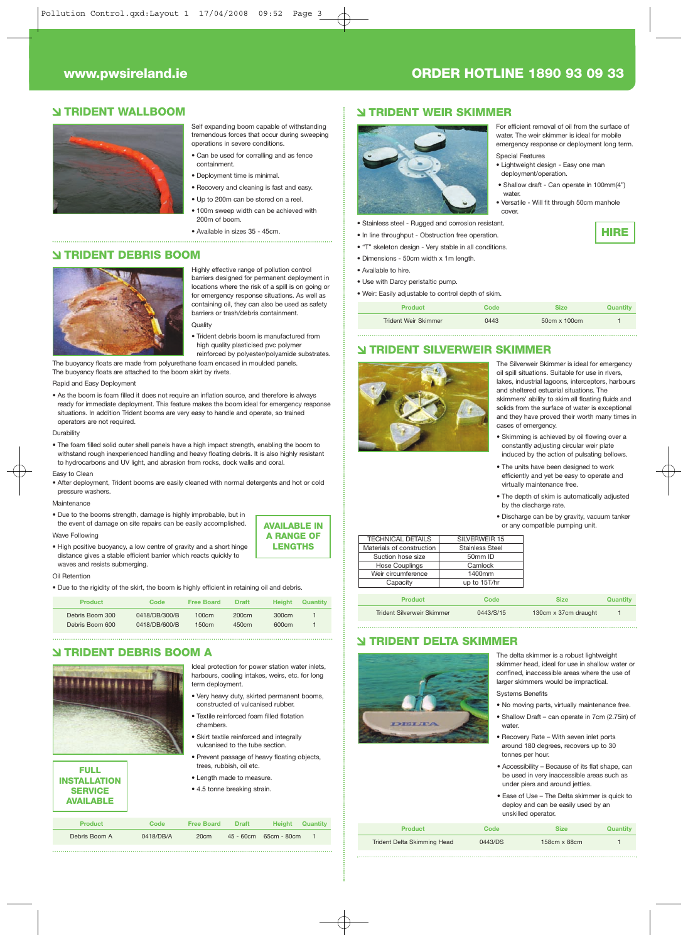#### **www.pwsireland.ie ORDER HOTLINE 1890 93 09 33**

Special Features

water

cover.

For efficient removal of oil from the surface of water. The weir skimmer is ideal for mobile emergency response or deployment long term.

• Shallow draft - Can operate in 100mm(4")

• Versatile - Will fit through 50cm manhole

**HIRE**

• Lightweight design - Easy one man deployment/operation.

#### **TRIDENT WALLBOOM**



- Self expanding boom capable of withstanding tremendous forces that occur during sweeping operations in severe conditions. • Can be used for corralling and as fence
- containment. • Deployment time is minimal.
- Recovery and cleaning is fast and easy.
- Up to 200m can be stored on a reel.
- 100m sweep width can be achieved with 200m of boom.
- Available in sizes 35 45cm.

#### **TRIDENT DEBRIS BOOM**



Highly effective range of pollution control barriers designed for permanent deployment in locations where the risk of a spill is on going or for emergency response situations. As well as containing oil, they can also be used as safety barriers or trash/debris containment.

**Quality** • Trident debris boom is manufactured from

high quality plasticised pvc polymer reinforced by polyester/polyamide substrates.

The buoyancy floats are made from polyurethane foam encased in moulded panels. The buoyancy floats are attached to the boom skirt by rivets.

#### Rapid and Easy Deployment

• As the boom is foam filled it does not require an inflation source, and therefore is always ready for immediate deployment. This feature makes the boom ideal for emergency response situations. In addition Trident booms are very easy to handle and operate, so trained operators are not required.

**Durability** 

• The foam filled solid outer shell panels have a high impact strength, enabling the boom to withstand rough inexperienced handling and heavy floating debris. It is also highly resistant to hydrocarbons and UV light, and abrasion from rocks, dock walls and coral.

Easy to Clean

• After deployment, Trident booms are easily cleaned with normal detergents and hot or cold pressure washers.

Maintenance

• Due to the booms strength, damage is highly improbable, but in the event of damage on site repairs can be easily accomplished.

#### Wave Following

• High positive buoyancy, a low centre of gravity and a short hinge distance gives a stable efficient barrier which reacts quickly to waves and resists submerging.

#### Oil Retention

• Due to the rigidity of the skirt, the boom is highly efficient in retaining oil and debris.

| Product         | Code          | <b>Free Board</b> | <b>Draft</b> | <b>Height</b> | Quantity |
|-----------------|---------------|-------------------|--------------|---------------|----------|
| Debris Boom 300 | 0418/DB/300/B | 100cm             | 200cm        | 300cm         |          |
| Debris Boom 600 | 0418/DB/600/B | 150cm             | 450cm        | 600cm         |          |

Debris Boom A 0418/DB/A 20cm 45 - 60cm 65cm - 80cm 1

**Product Code Free Board Draft Height Quantity**

#### **TRIDENT DEBRIS BOOM A**



**FULL INSTALLATION SERVICE AVAILABLE**

Ideal protection for power station water inlets, harbours, cooling intakes, weirs, etc. for long term deployment.

**AVAILABLE IN A RANGE OF LENGTHS**

- Very heavy duty, skirted permanent booms, constructed of vulcanised rubber. • Textile reinforced foam filled flotation
- chambers. • Skirt textile reinforced and integrally
- vulcanised to the tube section.
- Prevent passage of heavy floating objects, es, rubbish, oil etc.
- Length made to measure.
- 4.5 tonne breaking strain.

**TRIDENT WEIR SKIMMER**



#### • Stainless steel - Rugged and corrosion resistant.

- In line throughput Obstruction free operation.
- "T" skeleton design Very stable in all conditions.
- Dimensions 50cm width x 1m length.
- Available to hire.
- Use with Darcy peristaltic pump.

• Weir: Easily adjustable to control depth of skim.

| Product              | Code | <b>Size</b>  | Quantitv |
|----------------------|------|--------------|----------|
| Trident Weir Skimmer | 0443 | 50cm x 100cm |          |

#### **TRIDENT SILVERWEIR SKIMMER**



The Silverweir Skimmer is ideal for emergency oil spill situations. Suitable for use in rivers lakes, industrial lagoons, interceptors, harbours and sheltered estuarial situations. The skimmers' ability to skim all floating fluids and solids from the surface of water is exceptional and they have proved their worth many times in cases of emergency.

- Skimming is achieved by oil flowing over a constantly adjusting circular weir plate induced by the action of pulsating bellows.
- The units have been designed to work efficiently and yet be easy to operate and virtually maintenance free.
- The depth of skim is automatically adjusted by the discharge rate.
- Discharge can be by gravity, vacuum tanker or any compatible pumping unit.

| <b>TECHNICAL DETAILS</b>  | SILVERWEIR 15          |
|---------------------------|------------------------|
| Materials of construction | <b>Stainless Steel</b> |
| Suction hose size         | 50mm ID                |
| <b>Hose Couplings</b>     | Camlock                |
| Weir circumference        | 1400mm                 |
| Capacity                  | up to 15T/hr           |
|                           |                        |

| <b>Product</b>             | Code      | <b>Size</b>          | Quantity |
|----------------------------|-----------|----------------------|----------|
| Trident Silverweir Skimmer | 0443/S/15 | 130cm x 37cm draught |          |

#### **TRIDENT DELTA SKIMMER**



The delta skimmer is a robust lightweight skimmer head, ideal for use in shallow water or confined, inaccessible areas where the use of larger skimmers would be impractical.

Systems Benefits

- No moving parts, virtually maintenance free. • Shallow Draft – can operate in 7cm (2.75in) of water.
- Recovery Rate With seven inlet ports around 180 degrees, recovers up to 30 tonnes per hour.
- Accessibility Because of its flat shape, can be used in very inaccessible areas such as under piers and around jetties
- Ease of Use The Delta skimmer is quick to deploy and can be easily used by an unskilled operator.

| <b>Product</b>              | Code    | <b>Size</b>         | Quantity |
|-----------------------------|---------|---------------------|----------|
| Trident Delta Skimming Head | 0443/DS | $158cm \times 88cm$ |          |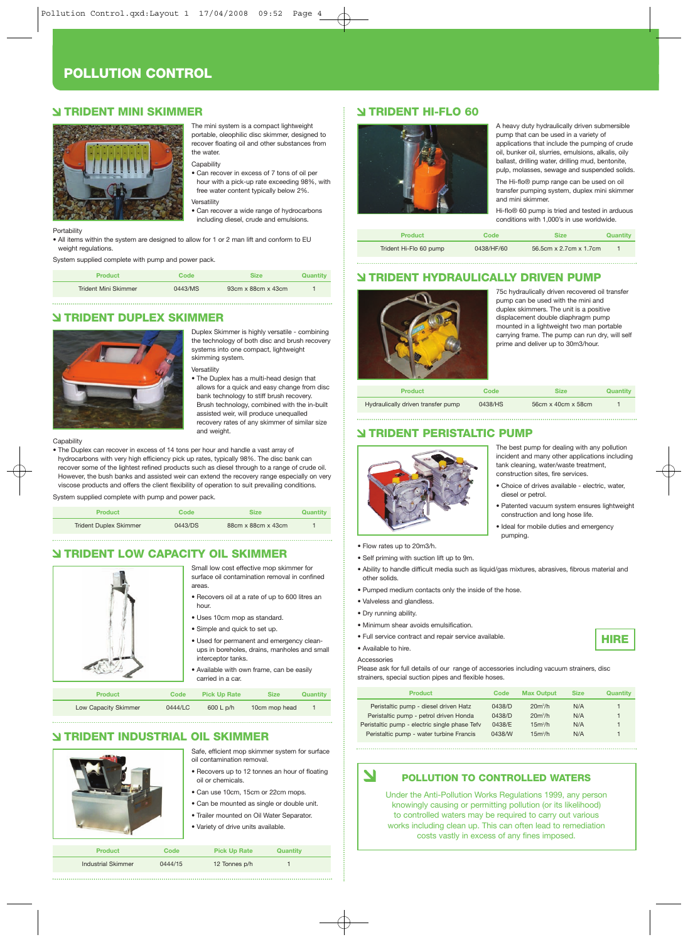#### **POLLUTION CONTROL**

#### **TRIDENT MINI SKIMMER**



The mini system is a compact lightweight portable, oleophilic disc skimmer, designed to recover floating oil and other substances from the water.

**Capability** 

• Can recover in excess of 7 tons of oil per hour with a pick-up rate exceeding 98%, with free water content typically below 2%. **Versatility** 

• Can recover a wide range of hydrocarbons including diesel, crude and emulsions.

**Portability** 

• All items within the system are designed to allow for 1 or 2 man lift and conform to EU weight regulations

System supplied complete with pump and power pack.

| <b>Product</b>              | Code    | <b>Size</b>                    | Quantity |
|-----------------------------|---------|--------------------------------|----------|
| <b>Trident Mini Skimmer</b> | 0443/MS | $93cm \times 88cm \times 43cm$ |          |

#### **TRIDENT DUPLEX SKIMMER**



Duplex Skimmer is highly versatile - combining the technology of both disc and brush recovery systems into one compact, lightweight skimming system.

Versatility • The Duplex has a multi-head design that

allows for a quick and easy change from disc bank technology to stiff brush recovery. Brush technology, combined with the in-built assisted weir, will produce unequalled recovery rates of any skimmer of similar size and weight.

#### Canability

• The Duplex can recover in excess of 14 tons per hour and handle a vast array of hydrocarbons with very high efficiency pick up rates, typically 98%. The disc bank can recover some of the lightest refined products such as diesel through to a range of crude oil. However, the bush banks and assisted weir can extend the recovery range especially on very viscose products and offers the client flexibility of operation to suit prevailing conditions.

System supplied complete with pump and power pack.

| <b>Product</b>                | Code    | <b>Size</b>        | Quantity |
|-------------------------------|---------|--------------------|----------|
| <b>Trident Duplex Skimmer</b> | 0443/DS | 88cm x 88cm x 43cm |          |

#### **TRIDENT LOW CAPACITY OIL SKIMMER**



Small low cost effective mop skimmer for surface oil contamination removal in confined areas.

- Recovers oil at a rate of up to 600 litres an hour.
- Uses 10cm mop as standard.
- Simple and quick to set up.
- Used for permanent and emergency cleanups in boreholes, drains, manholes and small interceptor tanks.
- Available with own frame, can be easily carried in a car.

| <b>Product</b> | Code | <b>Pick Up Rate</b> | <b>Size</b> | Quantity |
|----------------|------|---------------------|-------------|----------|
|                |      |                     |             |          |

Low Capacity Skimmer 0444/LC 600 L p/h 10cm mop head 1

#### **TRIDENT INDUSTRIAL OIL SKIMMER**



#### Safe, efficient mop skimmer system for surface oil contamination removal. • Recovers up to 12 tonnes an hour of floating

- oil or chemicals.
- Can use 10cm, 15cm or 22cm mops.
- Can be mounted as single or double unit.
- Trailer mounted on Oil Water Separator.
- Variety of drive units available.

| <b>Product</b>            | Code    | <b>Pick Up Rate</b> | Quantity |  |
|---------------------------|---------|---------------------|----------|--|
| <b>Industrial Skimmer</b> | 0444/15 | 12 Tonnes p/h       |          |  |

#### **TRIDENT HI-FLO 60**



A heavy duty hydraulically driven submersible pump that can be used in a variety of applications that include the pumping of crude oil, bunker oil, slurries, emulsions, alkalis, oily ballast, drilling water, drilling mud, bentonite, pulp, molasses, sewage and suspended solids. The Hi-flo® pump range can be used on oil transfer pumping system, duplex mini skimmer and mini skimmer.

Hi-flo® 60 pump is tried and tested in arduous conditions with 1,000's in use worldwide.

| Product                | Code       | <b>Size</b>            | Quantity |
|------------------------|------------|------------------------|----------|
| Trident Hi-Flo 60 pump | 0438/HF/60 | 56.5cm x 2.7cm x 1.7cm |          |

#### **TRIDENT HYDRAULICALLY DRIVEN PUMP**



75c hydraulically driven recovered oil transfer pump can be used with the mini and duplex skimmers. The unit is a positive displacement double diaphragm pump mounted in a lightweight two man portable carrying frame. The pump can run dry, will self prime and deliver up to 30m3/hour.

**Product Code Size Quantity** Hydraulically driven transfer pump 0438/HS 56cm x 40cm x 58cm

#### **TRIDENT PERISTALTIC PUMP**



The best pump for dealing with any pollution incident and many other applications including tank cleaning, water/waste treatment, construction sites, fire services.

- Choice of drives available electric, water, diesel or petrol.
- Patented vacuum system ensures lightweight construction and long hose life.

**HIRE**

- Ideal for mobile duties and emergency pumping.
- Flow rates up to 20m3/h.
- Self priming with suction lift up to 9m.

• Ability to handle difficult media such as liquid/gas mixtures, abrasives, fibrous material and other solids.

- Pumped medium contacts only the inside of the hose.
- Valveless and glandless.
- Dry running ability.
- 
- Full service contract and repair service available.
- Available to hire.

Accessories

 $\blacktriangle$ 

Please ask for full details of our range of accessories including vacuum strainers, disc strainers, special suction pipes and flexible hoses.

| <b>Product</b>                                | Code   | <b>Max Output</b> | <b>Size</b> | Quantity |
|-----------------------------------------------|--------|-------------------|-------------|----------|
| Peristaltic pump - diesel driven Hatz         | 0438/D | $20m^3/h$         | N/A         |          |
| Peristaltic pump - petrol driven Honda        | 0438/D | $20m^3/h$         | N/A         |          |
| Peristaltic pump - electric single phase Tefv | 0438/E | $15m^3/h$         | N/A         |          |
| Peristaltic pump - water turbine Francis      | 0438/W | $15m^3/h$         | N/A         |          |

#### **POLLUTION TO CONTROLLED WATERS**

Under the Anti-Pollution Works Regulations 1999, any person knowingly causing or permitting pollution (or its likelihood) to controlled waters may be required to carry out various works including clean up. This can often lead to remediation costs vastly in excess of any fines imposed.

- 
- 
- Minimum shear avoids emulsification.
	-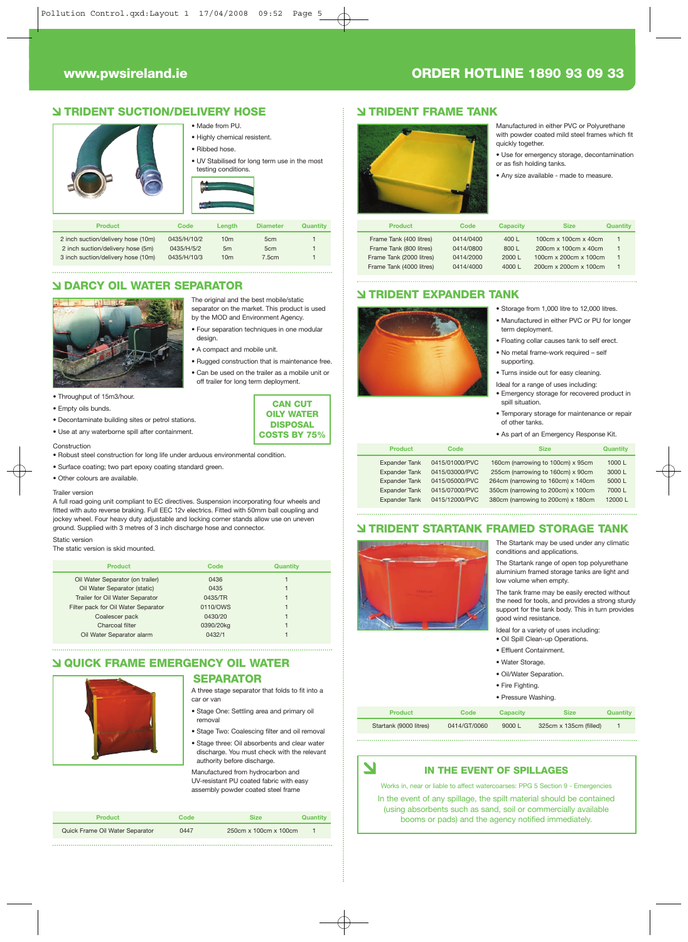#### **TRIDENT SUCTION/DELIVERY HOSE**



#### 2 inch suction/delivery hose (5m) 0435/H/5/2 5m 5cm 5cm<br>3 inch suction/delivery hose (10m) 0435/H/10/3 10m 7.5cm 3 inch suction/delivery hose (10m)

#### **DARCY OIL WATER SEPARATOR**



separator on the market. This product is used by the MOD and Environment Agency. • Four separation techniques in one modular

The original and the best mobile/static

- design.
- A compact and mobile unit.
- Rugged construction that is maintenance free. • Can be used on the trailer as a mobile unit or off trailer for long term deployment.
	- **CAN CUT OILY WATER DISPOSAL**

**COSTS BY 75%**

- Construction • Robust steel construction for long life under arduous environmental condition.
- 
- Surface coating; two part epoxy coating standard green. • Other colours are available.

• Decontaminate building sites or petrol stations. • Use at any waterborne spill after containment.

#### Trailer version

• Empty oils bunds.

A full road going unit compliant to EC directives. Suspension incorporating four wheels and fitted with auto reverse braking. Full EEC 12v electrics. Fitted with 50mm ball coupling and jockey wheel. Four heavy duty adjustable and locking corner stands allow use on uneven ground. Supplied with 3 metres of 3 inch discharge hose and connector.

#### Static version The static version is skid mounted.

| Code      | Quantity |
|-----------|----------|
| 0436      |          |
| 0435      |          |
| 0435/TR   |          |
| 0110/OWS  |          |
| 0430/20   |          |
| 0390/20kg |          |
| 0432/1    |          |
|           |          |

#### **QUICK FRAME EMERGENCY OIL WATER**

#### **SEPARATOR**

- A three stage separator that folds to fit into a car or van
- Stage One: Settling area and primary oil removal
- Stage Two: Coalescing filter and oil removal
- Stage three: Oil absorbents and clear water discharge. You must check with the relevant authority before discharge.

Manufactured from hydrocarbon and UV-resistant PU coated fabric with easy assembly powder coated steel frame

| <b>Product</b>                  | Code | Size                  | Quantity |
|---------------------------------|------|-----------------------|----------|
| Quick Frame Oil Water Separator | 0447 | 250cm x 100cm x 100cm |          |

#### **www.pwsireland.ie ORDER HOTLINE 1890 93 09 33**

#### **TRIDENT FRAME TANK**



- Manufactured in either PVC or Polyurethane with powder coated mild steel frames which fit quickly together.
- Use for emergency storage, decontamination
- or as fish holding tanks.
- Any size available made to measure.

| Product                  | Code      | <b>Capacity</b>  | <b>Size</b>           | Quantity |
|--------------------------|-----------|------------------|-----------------------|----------|
| Frame Tank (400 litres)  | 0414/0400 | 400 $\mathsf{L}$ | 100cm x 100cm x 40cm  |          |
| Frame Tank (800 litres)  | 0414/0800 | 800 L            | 200cm x 100cm x 40cm  |          |
| Frame Tank (2000 litres) | 0414/2000 | 2000L            | 100cm x 200cm x 100cm |          |
| Frame Tank (4000 litres) | 0414/4000 | 4000L            | 200cm x 200cm x 100cm |          |

#### **TRIDENT EXPANDER TANK**



• Turns inside out for easy cleaning. Ideal for a range of uses including:

• Storage from 1,000 litre to 12,000 litres. • Manufactured in either PVC or PU for longer

• Floating collar causes tank to self erect. • No metal frame-work required – self

term deployment.

supporting.

- Emergency storage for recovered product in spill situation.
- Temporary storage for maintenance or repair of other tanks.
- As part of an Emergency Response Kit.

| <b>Product</b>       | Code           | <b>Size</b>                        | Quantity |
|----------------------|----------------|------------------------------------|----------|
| <b>Expander Tank</b> | 0415/01000/PVC | 160cm (narrowing to 100cm) x 95cm  | 1000 L   |
| <b>Expander Tank</b> | 0415/03000/PVC | 255cm (narrowing to 160cm) x 90cm  | 3000 L   |
| <b>Expander Tank</b> | 0415/05000/PVC | 264cm (narrowing to 160cm) x 140cm | 5000 L   |
| <b>Expander Tank</b> | 0415/07000/PVC | 350cm (narrowing to 200cm) x 100cm | 7000 L   |
| <b>Expander Tank</b> | 0415/12000/PVC | 380cm (narrowing to 200cm) x 180cm | 12000L   |
|                      |                |                                    |          |

#### **TRIDENT STARTANK FRAMED STORAGE TANK**



 $\blacktriangleleft$ 

The Startank may be used under any climatic conditions and applications.

The Startank range of open top polyurethane aluminium framed storage tanks are light and low volume when empty.

The tank frame may be easily erected without the need for tools, and provides a strong sturdy support for the tank body. This in turn provides good wind resistance.

Ideal for a variety of uses including:

- Oil Spill Clean-up Operations.
- Effluent Containment.
- Water Storage.
- Oil/Water Separation.
- Fire Fighting.
- Pressure Washing.
- 

Startank (9000 litres) 0414/GT/0060 9000 L 325cm x 135cm (filled) 1 **Product Code Capacity Size** 

#### **IN THE EVENT OF SPILLAGES**

Works in, near or liable to affect watercoarses: PPG 5 Section 9 - Emergencies In the event of any spillage, the spilt material should be contained (using absorbents such as sand, soil or commercially available booms or pads) and the agency notified immediately.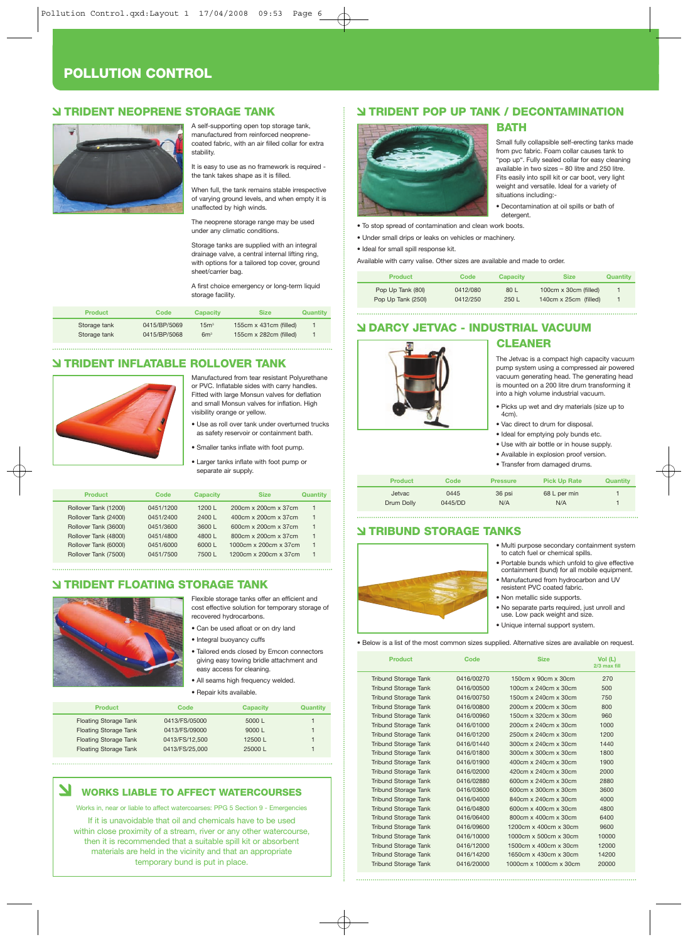#### **POLLUTION CONTROL**

#### **TRIDENT NEOPRENE STORAGE TANK**



A self-supporting open top storage tank, manufactured from reinforced neoprenecoated fabric, with an air filled collar for extra stability.

It is easy to use as no framework is required the tank takes shape as it is filled.

When full, the tank remains stable irrespective of varying ground levels, and when empty it is unaffected by high winds.

The neoprene storage range may be used under any climatic conditions.

Storage tanks are supplied with an integral drainage valve, a central internal lifting ring, with options for a tailored top cover, ground sheet/carrier bag.

A first choice emergency or long-term liquid storage facility.

| <b>Product</b> | Code         | <b>Capacity</b> | <b>Size</b>                       | Quantity |
|----------------|--------------|-----------------|-----------------------------------|----------|
| Storage tank   | 0415/BP/5069 | 15 <sup>m</sup> | 155 $cm \times$ 431 $cm$ (filled) |          |
| Storage tank   | 0415/BP/5068 | 6m <sup>3</sup> | 155 $cm \times 282$ cm (filled)   |          |

#### **TRIDENT INFLATABLE ROLLOVER TANK**



Manufactured from tear resistant Polyurethane or PVC. Inflatable sides with carry handles. Fitted with large Monsun valves for deflation and small Monsun valves for inflation. High visibility orange or yellow.

• Use as roll over tank under overturned trucks as safety reservoir or containment bath.

- Smaller tanks inflate with foot pump.
- Larger tanks inflate with foot pump or separate air supply.

| Product               | Code      | <b>Capacity</b> | <b>Size</b>           | Quantity |
|-----------------------|-----------|-----------------|-----------------------|----------|
| Rollover Tank (1200I) | 0451/1200 | 1200 $L$        | 200cm x 200cm x 37cm  |          |
| Rollover Tank (2400I) | 0451/2400 | 2400 L          | 400cm x 200cm x 37cm  |          |
| Rollover Tank (3600I) | 0451/3600 | 3600 L          | 600cm x 200cm x 37cm  |          |
| Rollover Tank (4800I) | 0451/4800 | 4800 L          | 800cm x 200cm x 37cm  |          |
| Rollover Tank (6000I) | 0451/6000 | 6000 L          | 1000cm x 200cm x 37cm |          |
| Rollover Tank (7500I) | 0451/7500 | 7500 L          | 1200cm x 200cm x 37cm |          |
|                       |           |                 |                       |          |

#### **TRIDENT FLOATING STORAGE TANK**



Flexible storage tanks offer an efficient and cost effective solution for temporary storage of recovered hydrocarbons.

- Can be used afloat or on dry land
- Integral buoyancy cuffs
- Tailored ends closed by Emcon connectors giving easy towing bridle attachment and easy access for cleaning.
- All seams high frequency welded.
- Repair kits available.

| <b>Product</b>               | <b>Capacity</b><br>Code  | Quantity |
|------------------------------|--------------------------|----------|
| <b>Floating Storage Tank</b> | 0413/FS/05000<br>5000L   |          |
| <b>Floating Storage Tank</b> | 0413/FS/09000<br>9000L   |          |
| <b>Floating Storage Tank</b> | 0413/FS/12.500<br>12500L |          |
| <b>Floating Storage Tank</b> | 0413/FS/25.000<br>25000L |          |
|                              |                          |          |

#### **WORKS LIABLE TO AFFECT WATERCOURSES**

Works in, near or liable to affect watercoarses: PPG 5 Section 9 - Emergencies

If it is unavoidable that oil and chemicals have to be used within close proximity of a stream, river or any other watercourse, then it is recommended that a suitable spill kit or absorbent materials are held in the vicinity and that an appropriate temporary bund is put in place.

#### **TRIDENT POP UP TANK / DECONTAMINATION**



• To stop spread of contamination and clean work boots.

• Under small drips or leaks on vehicles or machinery.

• Ideal for small spill response kit.

Available with carry valise. Other sizes are available and made to order.

| Product            | Code     | <b>Capacity</b> | <b>Size</b>                  | Quantity |
|--------------------|----------|-----------------|------------------------------|----------|
| Pop Up Tank (80I)  | 0412/080 | 80L             | $100cm \times 30cm$ (filled) |          |
| Pop Up Tank (250I) | 0412/250 | 250L            | 140cm x 25cm (filled)        |          |

detergent.

#### **DARCY JETVAC - INDUSTRIAL VACUUM**



#### **CLEANER**

The Jetvac is a compact high capacity vacuum pump system using a compressed air powered vacuum generating head. The generating head is mounted on a 200 litre drum transforming it into a high volume industrial vacuum.

- Picks up wet and dry materials (size up to 4cm).
- Vac direct to drum for disposal. • Ideal for emptying poly bunds etc.
- Use with air bottle or in house supply.
- Available in explosion proof version.
- Transfer from damaged drums.

| <b>Product</b> | Code    | <b>Pressure</b> | <b>Pick Up Rate</b> | <b>Quantity</b> |
|----------------|---------|-----------------|---------------------|-----------------|
| Jetvac         | 0445    | 36 psi          | 68 L per min        |                 |
| Drum Dolly     | 0445/DD | N/A             | N/A                 |                 |

#### **TRIBUND STORAGE TANKS**



- Multi purpose secondary containment system to catch fuel or chemical spills.
- Portable bunds which unfold to give effective containment (bund) for all mobile equipment.
- Manufactured from hydrocarbon and UV resistent PVC coated fabric.
- Non metallic side supports.
	- No separate parts required, just unroll and
	- use. Low pack weight and s
	- Unique internal support system.

• Below is a list of the most common sizes supplied. Alternative sizes are available on request.

| <b>Product</b>              | Code       | <b>Size</b>                     | Vol(L)<br>2/3 max fill |
|-----------------------------|------------|---------------------------------|------------------------|
| <b>Tribund Storage Tank</b> | 0416/00270 | $150cm \times 90cm \times 30cm$ | 270                    |
| <b>Tribund Storage Tank</b> | 0416/00500 | 100cm x 240cm x 30cm            | 500                    |
| <b>Tribund Storage Tank</b> | 0416/00750 | 150cm x 240cm x 30cm            | 750                    |
| <b>Tribund Storage Tank</b> | 0416/00800 | 200cm x 200cm x 30cm            | 800                    |
| <b>Tribund Storage Tank</b> | 0416/00960 | 150cm x 320cm x 30cm            | 960                    |
| <b>Tribund Storage Tank</b> | 0416/01000 | 200cm x 240cm x 30cm            | 1000                   |
| <b>Tribund Storage Tank</b> | 0416/01200 | 250cm x 240cm x 30cm            | 1200                   |
| <b>Tribund Storage Tank</b> | 0416/01440 | 300cm x 240cm x 30cm            | 1440                   |
| <b>Tribund Storage Tank</b> | 0416/01800 | 300cm x 300cm x 30cm            | 1800                   |
| <b>Tribund Storage Tank</b> | 0416/01900 | 400cm x 240cm x 30cm            | 1900                   |
| <b>Tribund Storage Tank</b> | 0416/02000 | 420cm x 240cm x 30cm            | 2000                   |
| <b>Tribund Storage Tank</b> | 0416/02880 | 600cm x 240cm x 30cm            | 2880                   |
| <b>Tribund Storage Tank</b> | 0416/03600 | 600cm x 300cm x 30cm            | 3600                   |
| <b>Tribund Storage Tank</b> | 0416/04000 | 840cm x 240cm x 30cm            | 4000                   |
| <b>Tribund Storage Tank</b> | 0416/04800 | 600cm x 400cm x 30cm            | 4800                   |
| <b>Tribund Storage Tank</b> | 0416/06400 | 800cm x 400cm x 30cm            | 6400                   |
| <b>Tribund Storage Tank</b> | 0416/09600 | 1200cm x 400cm x 30cm           | 9600                   |
| <b>Tribund Storage Tank</b> | 0416/10000 | 1000cm x 500cm x 30cm           | 10000                  |
| <b>Tribund Storage Tank</b> | 0416/12000 | 1500cm x 400cm x 30cm           | 12000                  |
| <b>Tribund Storage Tank</b> | 0416/14200 | 1650cm x 430cm x 30cm           | 14200                  |
| <b>Tribund Storage Tank</b> | 0416/20000 | 1000cm x 1000cm x 30cm          | 20000                  |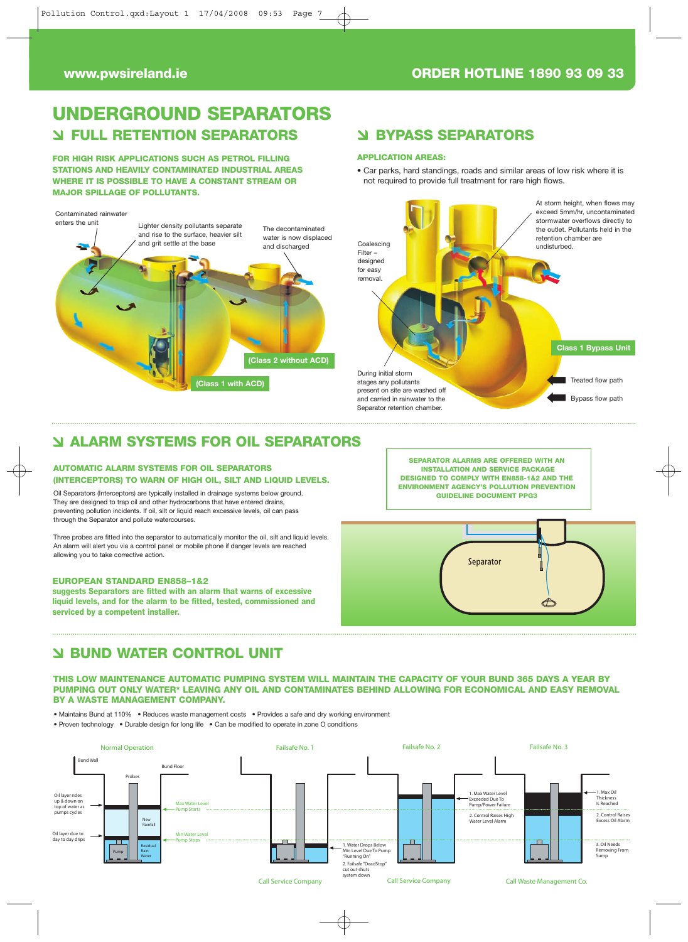#### **www.pwsireland.ie ORDER HOTLINE 1890 93 09 33**

#### **UNDERGROUND SEPARATORS FULL RETENTION SEPARATORS BYPASS SEPARATORS**

**FOR HIGH RISK APPLICATIONS SUCH AS PETROL FILLING STATIONS AND HEAVILY CONTAMINATED INDUSTRIAL AREAS WHERE IT IS POSSIBLE TO HAVE A CONSTANT STREAM OR MAJOR SPILLAGE OF POLLUTANTS.**

#### Contaminated rainwate



#### **APPLICATION AREAS:**

• Car parks, hard standings, roads and similar areas of low risk where it is not required to provide full treatment for rare high flows.



#### **ALARM SYSTEMS FOR OIL SEPARATORS**

#### **AUTOMATIC ALARM SYSTEMS FOR OIL SEPARATORS (INTERCEPTORS) TO WARN OF HIGH OIL, SILT AND LIQUID LEVELS.**

Oil Separators (Interceptors) are typically installed in drainage systems below ground. They are designed to trap oil and other hydrocarbons that have entered drains, preventing pollution incidents. If oil, silt or liquid reach excessive levels, oil can pass through the Separator and pollute watercourses.

Three probes are fitted into the separator to automatically monitor the oil, silt and liquid levels. An alarm will alert you via a control panel or mobile phone if danger levels are reached allowing you to take corrective action.

#### **EUROPEAN STANDARD EN858–1&2**

**suggests Separators are fitted with an alarm that warns of excessive liquid levels, and for the alarm to be fitted, tested, commissioned and serviced by a competent installer.** 

Separator

**SEPARATOR ALARMS ARE OFFERED WITH AN INSTALLATION AND SERVICE PACKAGE DESIGNED TO COMPLY WITH EN858-1&2 AND THE ENVIRONMENT AGENCY'S POLLUTION PREVENTION GUIDELINE DOCUMENT PPG3**

#### **BUND WATER CONTROL UNIT**

**THIS LOW MAINTENANCE AUTOMATIC PUMPING SYSTEM WILL MAINTAIN THE CAPACITY OF YOUR BUND 365 DAYS A YEAR BY PUMPING OUT ONLY WATER\* LEAVING ANY OIL AND CONTAMINATES BEHIND ALLOWING FOR ECONOMICAL AND EASY REMOVAL BY A WASTE MANAGEMENT COMPANY.**

• Maintains Bund at 110% • Reduces waste management costs • Provides a safe and dry working environment

• Proven technology • Durable design for long life • Can be modified to operate in zone O conditions